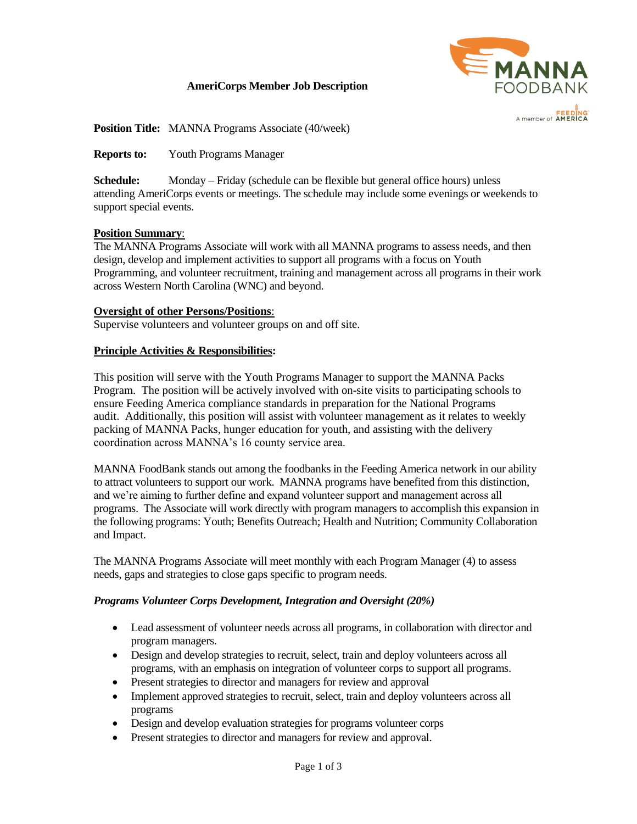## **AmeriCorps Member Job Description**



**Position Title:** MANNA Programs Associate (40/week)

**Reports to:** Youth Programs Manager

**Schedule:** Monday – Friday (schedule can be flexible but general office hours) unless attending AmeriCorps events or meetings. The schedule may include some evenings or weekends to support special events.

#### **Position Summary**:

The MANNA Programs Associate will work with all MANNA programs to assess needs, and then design, develop and implement activities to support all programs with a focus on Youth Programming, and volunteer recruitment, training and management across all programs in their work across Western North Carolina (WNC) and beyond.

#### **Oversight of other Persons/Positions**:

Supervise volunteers and volunteer groups on and off site.

#### **Principle Activities & Responsibilities:**

This position will serve with the Youth Programs Manager to support the MANNA Packs Program. The position will be actively involved with on-site visits to participating schools to ensure Feeding America compliance standards in preparation for the National Programs audit. Additionally, this position will assist with volunteer management as it relates to weekly packing of MANNA Packs, hunger education for youth, and assisting with the delivery coordination across MANNA's 16 county service area.

MANNA FoodBank stands out among the foodbanks in the Feeding America network in our ability to attract volunteers to support our work. MANNA programs have benefited from this distinction, and we're aiming to further define and expand volunteer support and management across all programs. The Associate will work directly with program managers to accomplish this expansion in the following programs: Youth; Benefits Outreach; Health and Nutrition; Community Collaboration and Impact.

The MANNA Programs Associate will meet monthly with each Program Manager (4) to assess needs, gaps and strategies to close gaps specific to program needs.

#### *Programs Volunteer Corps Development, Integration and Oversight (20%)*

- Lead assessment of volunteer needs across all programs, in collaboration with director and program managers.
- Design and develop strategies to recruit, select, train and deploy volunteers across all programs, with an emphasis on integration of volunteer corps to support all programs.
- Present strategies to director and managers for review and approval
- Implement approved strategies to recruit, select, train and deploy volunteers across all programs
- Design and develop evaluation strategies for programs volunteer corps
- Present strategies to director and managers for review and approval.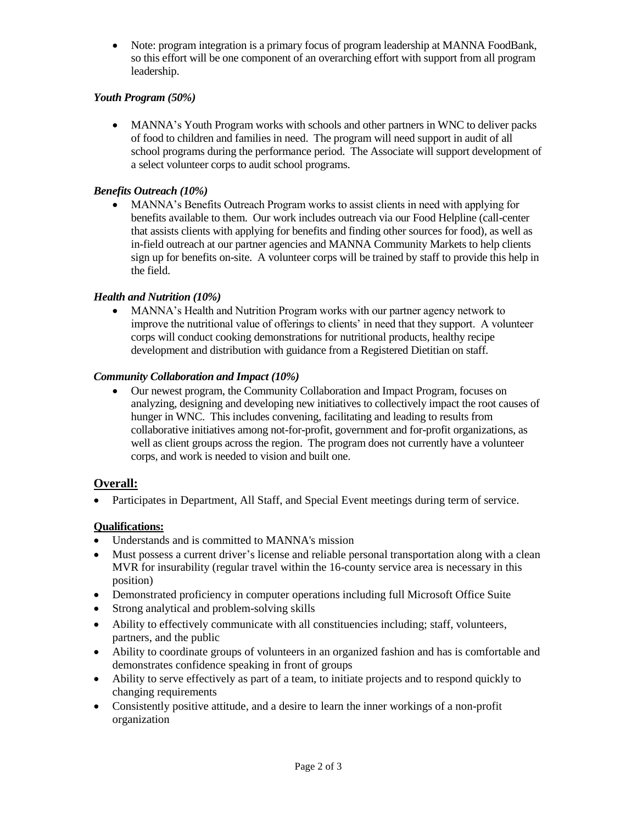• Note: program integration is a primary focus of program leadership at MANNA FoodBank, so this effort will be one component of an overarching effort with support from all program leadership.

## *Youth Program (50%)*

• MANNA's Youth Program works with schools and other partners in WNC to deliver packs of food to children and families in need. The program will need support in audit of all school programs during the performance period. The Associate will support development of a select volunteer corps to audit school programs.

### *Benefits Outreach (10%)*

• MANNA's Benefits Outreach Program works to assist clients in need with applying for benefits available to them. Our work includes outreach via our Food Helpline (call-center that assists clients with applying for benefits and finding other sources for food), as well as in-field outreach at our partner agencies and MANNA Community Markets to help clients sign up for benefits on-site. A volunteer corps will be trained by staff to provide this help in the field.

### *Health and Nutrition (10%)*

• MANNA's Health and Nutrition Program works with our partner agency network to improve the nutritional value of offerings to clients' in need that they support. A volunteer corps will conduct cooking demonstrations for nutritional products, healthy recipe development and distribution with guidance from a Registered Dietitian on staff.

### *Community Collaboration and Impact (10%)*

• Our newest program, the Community Collaboration and Impact Program, focuses on analyzing, designing and developing new initiatives to collectively impact the root causes of hunger in WNC. This includes convening, facilitating and leading to results from collaborative initiatives among not-for-profit, government and for-profit organizations, as well as client groups across the region. The program does not currently have a volunteer corps, and work is needed to vision and built one.

# **Overall:**

• Participates in Department, All Staff, and Special Event meetings during term of service.

# **Qualifications:**

- Understands and is committed to MANNA's mission
- Must possess a current driver's license and reliable personal transportation along with a clean MVR for insurability (regular travel within the 16-county service area is necessary in this position)
- Demonstrated proficiency in computer operations including full Microsoft Office Suite
- Strong analytical and problem-solving skills
- Ability to effectively communicate with all constituencies including; staff, volunteers, partners, and the public
- Ability to coordinate groups of volunteers in an organized fashion and has is comfortable and demonstrates confidence speaking in front of groups
- Ability to serve effectively as part of a team, to initiate projects and to respond quickly to changing requirements
- Consistently positive attitude, and a desire to learn the inner workings of a non-profit organization